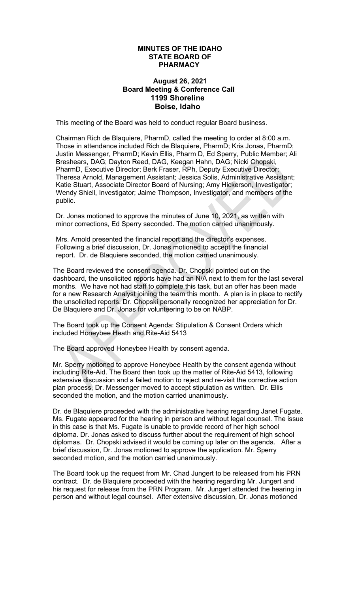## **MINUTES OF THE IDAHO STATE BOARD OF PHARMACY**

## **August 26, 2021 Board Meeting & Conference Call 1199 Shoreline Boise, Idaho**

This meeting of the Board was held to conduct regular Board business.

Chairman Rich de Blaquiere, PharmD, called the meeting to order at 8:00 a.m. Those in attendance included Rich de Blaquiere, PharmD; Kris Jonas, PharmD; Justin Messenger, PharmD; Kevin Ellis, Pharm D, Ed Sperry, Public Member; Ali Breshears, DAG; Dayton Reed, DAG, Keegan Hahn, DAG; Nicki Chopski, PharmD, Executive Director; Berk Fraser, RPh, Deputy Executive Director; Theresa Arnold, Management Assistant; Jessica Solis, Administrative Assistant; Katie Stuart, Associate Director Board of Nursing; Amy Hickerson, Investigator; Wendy Shiell, Investigator; Jaime Thompson, Investigator, and members of the public.

Dr. Jonas motioned to approve the minutes of June 10, 2021, as written with minor corrections, Ed Sperry seconded. The motion carried unanimously.

Mrs. Arnold presented the financial report and the director's expenses. Following a brief discussion, Dr. Jonas motioned to accept the financial report. Dr. de Blaquiere seconded, the motion carried unanimously.

The Board reviewed the consent agenda. Dr. Chopski pointed out on the dashboard, the unsolicited reports have had an N/A next to them for the last several months. We have not had staff to complete this task, but an offer has been made for a new Research Analyst joining the team this month. A plan is in place to rectify the unsolicited reports. Dr. Chopski personally recognized her appreciation for Dr. De Blaquiere and Dr. Jonas for volunteering to be on NABP.

The Board took up the Consent Agenda: Stipulation & Consent Orders which included Honeybee Heath and Rite-Aid 5413

The Board approved Honeybee Health by consent agenda.

Mr. Sperry motioned to approve Honeybee Health by the consent agenda without including Rite-Aid. The Board then took up the matter of Rite-Aid 5413, following extensive discussion and a failed motion to reject and re-visit the corrective action plan process, Dr. Messenger moved to accept stipulation as written. Dr. Ellis seconded the motion, and the motion carried unanimously.

Dr. de Blaquiere proceeded with the administrative hearing regarding Janet Fugate. Ms. Fugate appeared for the hearing in person and without legal counsel. The issue in this case is that Ms. Fugate is unable to provide record of her high school diploma. Dr. Jonas asked to discuss further about the requirement of high school diplomas. Dr. Chopski advised it would be coming up later on the agenda. After a brief discussion, Dr. Jonas motioned to approve the application. Mr. Sperry seconded motion, and the motion carried unanimously.

The Board took up the request from Mr. Chad Jungert to be released from his PRN contract. Dr. de Blaquiere proceeded with the hearing regarding Mr. Jungert and his request for release from the PRN Program. Mr. Jungert attended the hearing in person and without legal counsel. After extensive discussion, Dr. Jonas motioned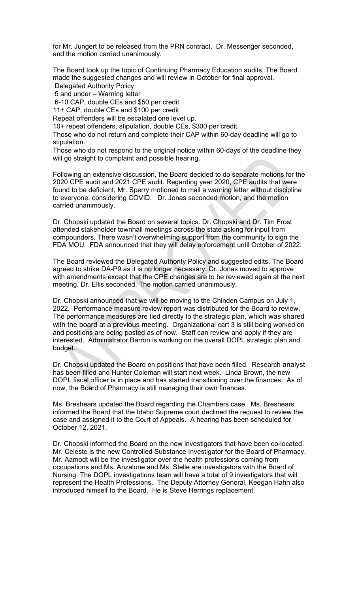for Mr. Jungert to be released from the PRN contract. Dr. Messenger seconded, and the motion carried unanimously.

The Board took up the topic of Continuing Pharmacy Education audits. The Board made the suggested changes and will review in October for final approval.

Delegated Authority Policy

5 and under – Warning letter

6-10 CAP, double CEs and \$50 per credit

11+ CAP, double CEs and \$100 per credit

Repeat offenders will be escalated one level up.

10+ repeat offenders, stipulation, double CEs, \$300 per credit.

Those who do not return and complete their CAP within 60-day deadline will go to stipulation.

Those who do not respond to the original notice within 60-days of the deadline they will go straight to complaint and possible hearing.

Following an extensive discussion, the Board decided to do separate motions for the 2020 CPE audit and 2021 CPE audit. Regarding year 2020, CPE audits that were found to be deficient, Mr. Sperry motioned to mail a warning letter without discipline to everyone, considering COVID. Dr. Jonas seconded motion, and the motion carried unanimously.

Dr. Chopski updated the Board on several topics. Dr. Chopski and Dr. Tim Frost attended stakeholder townhall meetings across the state asking for input from compounders. There wasn't overwhelming support from the community to sign the FDA MOU. FDA announced that they will delay enforcement until October of 2022.

The Board reviewed the Delegated Authority Policy and suggested edits. The Board agreed to strike DA-P9 as it is no longer necessary. Dr. Jonas moved to approve with amendments except that the CPE changes are to be reviewed again at the next meeting. Dr. Ellis seconded. The motion carried unanimously.

Dr. Chopski announced that we will be moving to the Chinden Campus on July 1, 2022. Performance measure review report was distributed for the Board to review. The performance measures are tied directly to the strategic plan, which was shared with the board at a previous meeting. Organizational cart 3 is still being worked on and positions are being posted as of now. Staff can review and apply if they are interested. Administrator Barron is working on the overall DOPL strategic plan and budget.

Dr. Chopski updated the Board on positions that have been filled. Research analyst has been filled and Hunter Coleman will start next week. Linda Brown, the new DOPL fiscal officer is in place and has started transitioning over the finances. As of now, the Board of Pharmacy is still managing their own finances.

Ms. Breshears updated the Board regarding the Chambers case. Ms. Breshears informed the Board that the Idaho Supreme court declined the request to review the case and assigned it to the Court of Appeals. A hearing has been scheduled for October 12, 2021.

Dr. Chopski informed the Board on the new investigators that have been co-located. Mr. Celeste is the new Controlled Substance Investigator for the Board of Pharmacy. Mr. Aamodt will be the investigator over the health professions coming from occupations and Ms. Anzalone and Ms. Stelle are investigators with the Board of Nursing. The DOPL investigations team will have a total of 9 investigators that will represent the Health Professions. The Deputy Attorney General, Keegan Hahn also introduced himself to the Board. He is Steve Herrings replacement.